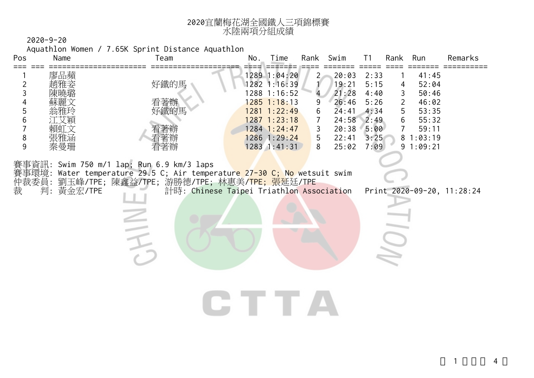| 2020宜蘭梅花湖全國鐵人三項錦標賽 |
|--------------------|
| 水陸兩項分組成績           |

Aquathlon Women / 7.65K Sprint Distance Aquathlon

| Pos                             | Name                           | Team                                                                                                                                                                                                 | No. | Time                                                                                                                                               | Rank                                         | Swim                                                                          | T <sub>1</sub>                                                       | Rank                                                 | Run                                                                                 | Remarks                    |
|---------------------------------|--------------------------------|------------------------------------------------------------------------------------------------------------------------------------------------------------------------------------------------------|-----|----------------------------------------------------------------------------------------------------------------------------------------------------|----------------------------------------------|-------------------------------------------------------------------------------|----------------------------------------------------------------------|------------------------------------------------------|-------------------------------------------------------------------------------------|----------------------------|
| 2<br>3<br>4<br>5<br>6<br>8<br>9 | 廖品蘋<br>雅玲<br>賴則文<br>張雅涵<br>秦曼珊 | 好鐵的馬<br>看著辦<br>好鐵的馬<br>者辧<br>看著辦<br>看著辦                                                                                                                                                              |     | 1289 1:04:20<br>1282 1:16:39<br>1288 1:16:52<br>$1285$ 1:18:13<br>1281 1:22:49<br>1287 1:23:18<br>$1284$ 1:24:47<br>$1286$ 1:29:24<br>1283 1:41:31 | 2 <sub>1</sub><br>9<br>6<br>7<br>3<br>5<br>8 | 20:03<br>19:21<br>21:28<br>26:46<br>24:41<br>24:58<br>20:38<br>22:41<br>25:02 | 2:33<br>5:15<br>4:40<br>5:26<br>4:34<br>2:49<br>5:00<br>3:25<br>7:09 | 4<br>3<br>$\overline{2}$<br>5<br>6<br>$\overline{7}$ | 41:45<br>52:04<br>50:46<br>46:02<br>53:35<br>55:32<br>59:11<br>81:03:19<br>91:09:21 |                            |
| 賽事資訊:<br>賽事環境:<br>仲裁委員:<br>裁    | 判: 黃金宏/TPE                     | Swim 750 m/1 lap; Run 6.9 km/3 laps<br>Water temperature 29.5 C; Air temperature 27-30 C; No wetsuit swim<br>劉玉峰/TPE; 陳鑫益/TPE; 游勝德/TPE; 林惠美/TPE; 張延廷/TPE<br>計時: Chinese Taipei Triathlon Association |     |                                                                                                                                                    |                                              |                                                                               |                                                                      |                                                      |                                                                                     | Print 2020-09-20, 11:28:24 |
|                                 |                                |                                                                                                                                                                                                      |     | CTTTA                                                                                                                                              |                                              |                                                                               |                                                                      |                                                      |                                                                                     |                            |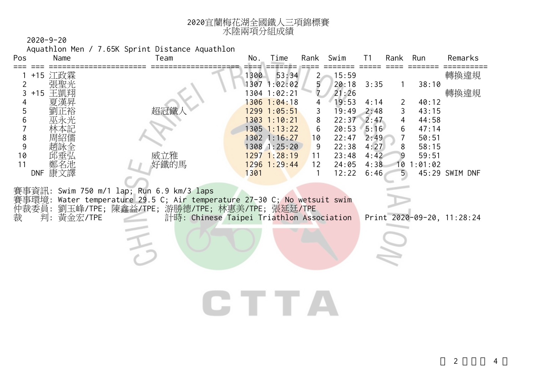| 2020宜蘭梅花湖全國鐵人三項錦標賽 |
|--------------------|
| 水陸兩項分組成績           |

Aquathlon Men / 7.65K Sprint Distance Aquathlon

| Name<br>Pos                                                                                                          | Team                                                                                                                                                                                                       | No.          | Time                                                                                                                                                                          | Rank                                                       | Swim                                                                                                     | T <sub>1</sub>                                                               | Rank                       | Run                                                                                | Remarks                        |
|----------------------------------------------------------------------------------------------------------------------|------------------------------------------------------------------------------------------------------------------------------------------------------------------------------------------------------------|--------------|-------------------------------------------------------------------------------------------------------------------------------------------------------------------------------|------------------------------------------------------------|----------------------------------------------------------------------------------------------------------|------------------------------------------------------------------------------|----------------------------|------------------------------------------------------------------------------------|--------------------------------|
| +15 江政霖<br>2<br>3<br>+15 王凱翔<br>夏漢昇<br>4<br>5<br>6<br>巫永光<br>大記<br>8<br>紹儒<br>9<br>趙詠全<br>10<br>11<br>鄭名池<br>DNF 康文譯 | 威立雅<br>好鐵的馬                                                                                                                                                                                                | 1300<br>1301 | 53:34<br>1307 1:02:02<br>1304 1:02:21<br>1306 1:04:18<br>1299 1:05:51<br>1303 1:10:21<br>$1305$ $1:13:22$<br>$1302$ 1:16:27<br>1308 1:25:20<br>1297 1:28:19<br>$1296$ 1:29:44 | $2 -$<br>5<br>7<br>3<br>8<br>6<br>10<br>9<br>11<br>12<br>1 | 15:59<br>20:18<br>21:26<br>19:53<br>19:49<br>22:37<br>20:53<br>22:47<br>22:38<br>23:48<br>24:05<br>12:22 | 3:35<br>4:14<br>2:48<br>2:47<br>5:16<br>2:49<br>4:27<br>4:42<br>4:38<br>6:46 | 2<br>3<br>4<br>6<br>7<br>8 | 38:10<br>40:12<br>43:15<br>44:58<br>47:14<br>50:51<br>58:15<br>59:51<br>10 1:01:02 | 轉換違規<br>轉換違規<br>45:29 SWIM DNF |
| 賽事環境:<br>仲裁委員:<br>黃金宏/TPE<br>裁<br>判:                                                                                 | 賽事資訊: Swim 750 m/1 lap; Run 6.9 km/3 laps<br>Water temperature 29.5 C; Air temperature 27-30 C; No wetsuit swim<br>劉玉峰/TPE; 陳鑫益/TPE; 游勝德/TPE; 林惠美/TPE; 張延廷/TPE<br>計時: Chinese Taipei Triathlon Association |              | IE TE                                                                                                                                                                         |                                                            |                                                                                                          |                                                                              |                            |                                                                                    | Print 2020-09-20, 11:28:24     |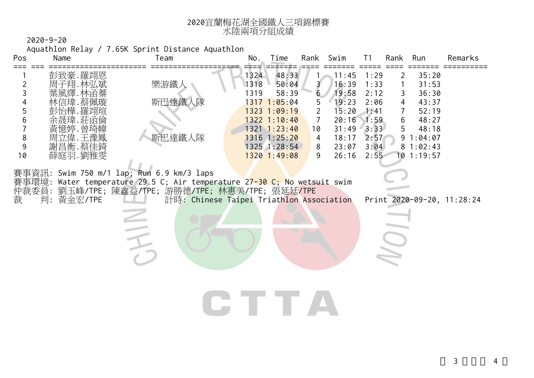| 2020宜蘭梅花湖全國鐵人三項錦標賽 |
|--------------------|
| 水陸兩項分組成績           |

Aquathlon Relay / 7.65K Sprint Distance Aquathlon